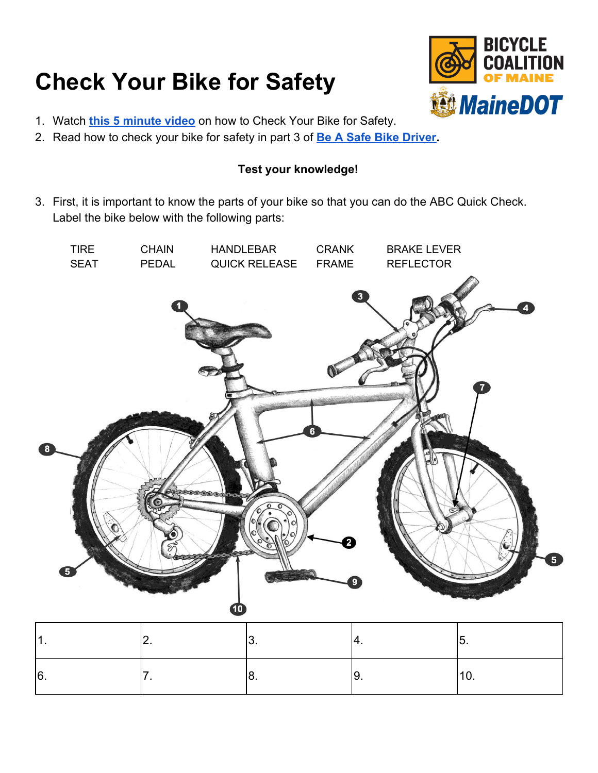## **Check Your Bike for Safety**



- 1. Watch **[this 5 minute video](https://youtu.be/s8JZ0TpIHOk)** on how to Check Your Bike for Safety.
- 2. Read how to check your bike for safety in part 3 of **[Be A Safe Bike Driver.](https://drive.google.com/file/d/0BzVN8gHL4sKJTkdjZ25FXzY4NFk/view)**

## **Test your knowledge!**

3. First, it is important to know the parts of your bike so that you can do the ABC Quick Check. Label the bike below with the following parts:



|          | $\ddot{\phantom{0}}$ |    | v.  |
|----------|----------------------|----|-----|
| ۱R<br>J. | J.                   | J. | . v |